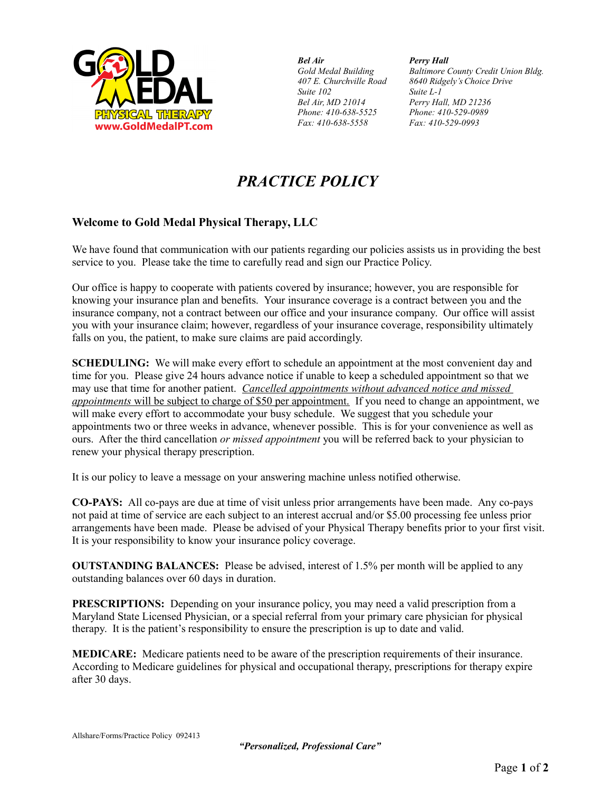

*Bel Air Perry Hall Suite 102 Suite L-1 Phone: 410-638-5525 Phone: 410-529-0989 Fax: 410-638-5558 Fax: 410-529-0993*

*Gold Medal Building Baltimore County Credit Union Bldg. 407 E. Churchville Road 8640 Ridgely's Choice Drive Bel Air, MD 21014 Perry Hall, MD 21236*

## *PRACTICE POLICY*

## **Welcome to Gold Medal Physical Therapy, LLC**

We have found that communication with our patients regarding our policies assists us in providing the best service to you. Please take the time to carefully read and sign our Practice Policy.

Our office is happy to cooperate with patients covered by insurance; however, you are responsible for knowing your insurance plan and benefits. Your insurance coverage is a contract between you and the insurance company, not a contract between our office and your insurance company. Our office will assist you with your insurance claim; however, regardless of your insurance coverage, responsibility ultimately falls on you, the patient, to make sure claims are paid accordingly.

**SCHEDULING:** We will make every effort to schedule an appointment at the most convenient day and time for you. Please give 24 hours advance notice if unable to keep a scheduled appointment so that we may use that time for another patient. *Cancelled appointments without advanced notice and missed appointments* will be subject to charge of \$50 per appointment. If you need to change an appointment, we will make every effort to accommodate your busy schedule. We suggest that you schedule your appointments two or three weeks in advance, whenever possible. This is for your convenience as well as ours. After the third cancellation *or missed appointment* you will be referred back to your physician to renew your physical therapy prescription.

It is our policy to leave a message on your answering machine unless notified otherwise.

**CO-PAYS:** All co-pays are due at time of visit unless prior arrangements have been made. Any co-pays not paid at time of service are each subject to an interest accrual and/or \$5.00 processing fee unless prior arrangements have been made. Please be advised of your Physical Therapy benefits prior to your first visit. It is your responsibility to know your insurance policy coverage.

**OUTSTANDING BALANCES:** Please be advised, interest of 1.5% per month will be applied to any outstanding balances over 60 days in duration.

**PRESCRIPTIONS:** Depending on your insurance policy, you may need a valid prescription from a Maryland State Licensed Physician, or a special referral from your primary care physician for physical therapy. It is the patient's responsibility to ensure the prescription is up to date and valid.

**MEDICARE:** Medicare patients need to be aware of the prescription requirements of their insurance. According to Medicare guidelines for physical and occupational therapy, prescriptions for therapy expire after 30 days.